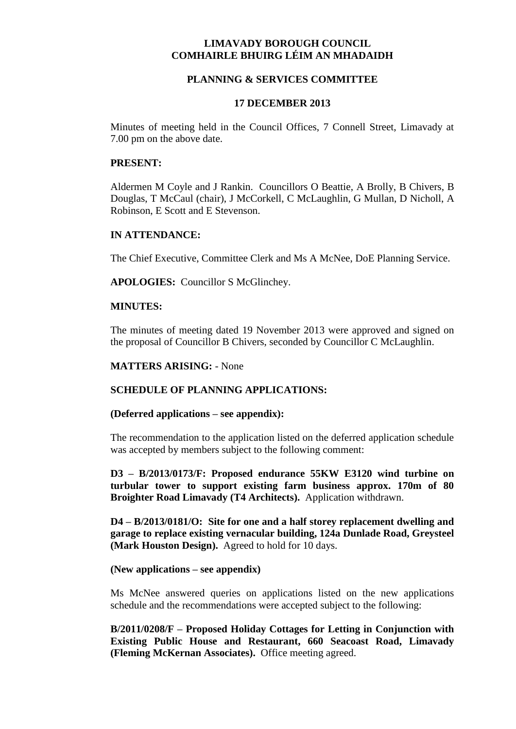# **LIMAVADY BOROUGH COUNCIL COMHAIRLE BHUIRG LÉIM AN MHADAIDH**

# **PLANNING & SERVICES COMMITTEE**

### **17 DECEMBER 2013**

Minutes of meeting held in the Council Offices, 7 Connell Street, Limavady at 7.00 pm on the above date.

#### **PRESENT:**

Aldermen M Coyle and J Rankin. Councillors O Beattie, A Brolly, B Chivers, B Douglas, T McCaul (chair), J McCorkell, C McLaughlin, G Mullan, D Nicholl, A Robinson, E Scott and E Stevenson.

## **IN ATTENDANCE:**

The Chief Executive, Committee Clerk and Ms A McNee, DoE Planning Service.

**APOLOGIES:** Councillor S McGlinchey.

#### **MINUTES:**

The minutes of meeting dated 19 November 2013 were approved and signed on the proposal of Councillor B Chivers, seconded by Councillor C McLaughlin.

### **MATTERS ARISING:** - None

### **SCHEDULE OF PLANNING APPLICATIONS:**

## **(Deferred applications – see appendix):**

The recommendation to the application listed on the deferred application schedule was accepted by members subject to the following comment:

**D3 – B/2013/0173/F: Proposed endurance 55KW E3120 wind turbine on turbular tower to support existing farm business approx. 170m of 80 Broighter Road Limavady (T4 Architects).** Application withdrawn.

**D4 – B/2013/0181/O: Site for one and a half storey replacement dwelling and garage to replace existing vernacular building, 124a Dunlade Road, Greysteel (Mark Houston Design).** Agreed to hold for 10 days.

#### **(New applications – see appendix)**

Ms McNee answered queries on applications listed on the new applications schedule and the recommendations were accepted subject to the following:

**B/2011/0208/F – Proposed Holiday Cottages for Letting in Conjunction with Existing Public House and Restaurant, 660 Seacoast Road, Limavady (Fleming McKernan Associates).** Office meeting agreed.